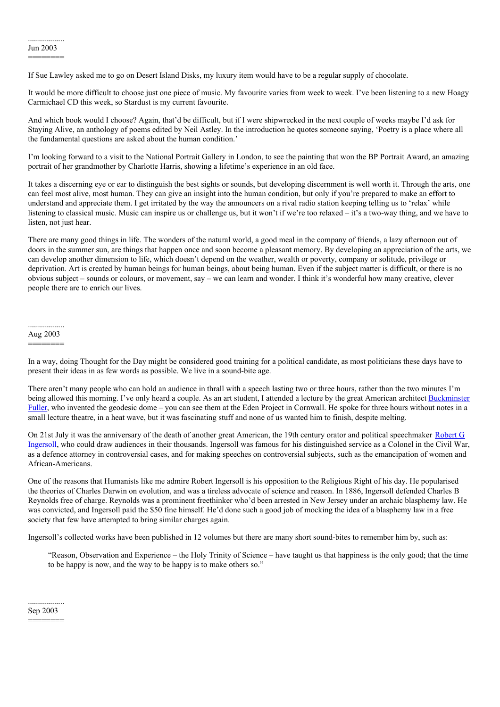## ========

If Sue Lawley asked me to go on Desert Island Disks, my luxury item would have to be a regular supply of chocolate.

It would be more difficult to choose just one piece of music. My favourite varies from week to week. I've been listening to a new Hoagy Carmichael CD this week, so Stardust is my current favourite.

And which book would I choose? Again, that'd be difficult, but if I were shipwrecked in the next couple of weeks maybe I'd ask for Staying Alive, an anthology of poems edited by Neil Astley. In the introduction he quotes someone saying, 'Poetry is a place where all the fundamental questions are asked about the human condition.'

I'm looking forward to a visit to the National Portrait Gallery in London, to see the painting that won the BP Portrait Award, an amazing portrait of her grandmother by Charlotte Harris, showing a lifetime's experience in an old face.

It takes a discerning eye or ear to distinguish the best sights or sounds, but developing discernment is well worth it. Through the arts, one can feel most alive, most human. They can give an insight into the human condition, but only if you're prepared to make an effort to understand and appreciate them. I get irritated by the way the announcers on a rival radio station keeping telling us to 'relax' while listening to classical music. Music can inspire us or challenge us, but it won't if we're too relaxed – it's a two-way thing, and we have to listen, not just hear.

There are many good things in life. The wonders of the natural world, a good meal in the company of friends, a lazy afternoon out of doors in the summer sun, are things that happen once and soon become a pleasant memory. By developing an appreciation of the arts, we can develop another dimension to life, which doesn't depend on the weather, wealth or poverty, company or solitude, privilege or deprivation. Art is created by human beings for human beings, about being human. Even if the subject matter is difficult, or there is no obvious subject – sounds or colours, or movement, say – we can learn and wonder. I think it's wonderful how many creative, clever people there are to enrich our lives.

## .................. Aug 2003

========

In a way, doing Thought for the Day might be considered good training for a political candidate, as most politicians these days have to present their ideas in as few words as possible. We live in a sound-bite age.

There aren't many people who can hold an audience in thrall with a speech lasting two or three hours, rather than the two minutes I'm being allowed this morning. I've only heard a couple. As an art student, I attended a lecture by the great American architect [Buckminster](http://en.wikipedia.org/wiki/Buckminster_Fuller) Fuller, who invented the geodesic dome – you can see them at the Eden Project in Cornwall. He spoke for three hours without notes in a small lecture theatre, in a heat wave, but it was fascinating stuff and none of us wanted him to finish, despite melting.

On 21st July it was the anniversary of the death of another great American, the 19th century orator and political [speechmaker](http://en.wikipedia.org/wiki/Robert_G._Ingersol) Robert G Ingersoll, who could draw audiences in their thousands. Ingersoll was famous for his distinguished service as a Colonel in the Civil War, as a defence attorney in controversial cases, and for making speeches on controversial subjects, such as the emancipation of women and African-Americans.

One of the reasons that Humanists like me admire Robert Ingersoll is his opposition to the Religious Right of his day. He popularised the theories of Charles Darwin on evolution, and was a tireless advocate of science and reason. In 1886, Ingersoll defended Charles B Reynolds free of charge. Reynolds was a prominent freethinker who'd been arrested in New Jersey under an archaic blasphemy law. He was convicted, and Ingersoll paid the \$50 fine himself. He'd done such a good job of mocking the idea of a blasphemy law in a free society that few have attempted to bring similar charges again.

Ingersoll's collected works have been published in 12 volumes but there are many short sound-bites to remember him by, such as:

"Reason, Observation and Experience – the Holy Trinity of Science – have taught us that happiness is the only good; that the time to be happy is now, and the way to be happy is to make others so."

.................. Sep 2003 ========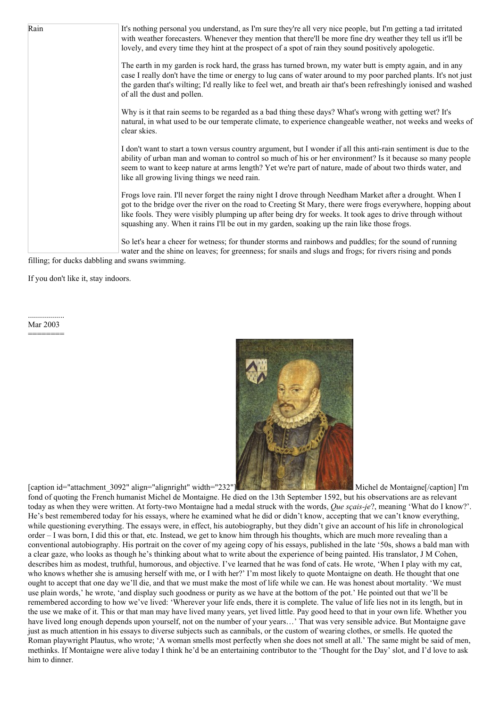Rain It's nothing personal you understand, as I'm sure they're all very nice people, but I'm getting a tad irritated with weather forecasters. Whenever they mention that there'll be more fine dry weather they tell us it'll be lovely, and every time they hint at the prospect of a spot of rain they sound positively apologetic. The earth in my garden is rock hard, the grass has turned brown, my water butt is empty again, and in any case I really don't have the time or energy to lug cans of water around to my poor parched plants. It's not just the garden that's wilting; I'd really like to feel wet, and breath air that's been refreshingly ionised and washed of all the dust and pollen. Why is it that rain seems to be regarded as a bad thing these days? What's wrong with getting wet? It's natural, in what used to be our temperate climate, to experience changeable weather, not weeks and weeks of clear skies. I don't want to start a town versus country argument, but I wonder if all this anti-rain sentiment is due to the ability of urban man and woman to control so much of his or her environment? Is it because so many people seem to want to keep nature at arms length? Yet we're part of nature, made of about two thirds water, and like all growing living things we need rain. Frogs love rain. I'll never forget the rainy night I drove through Needham Market after a drought. When I got to the bridge over the river on the road to Creeting St Mary, there were frogs everywhere, hopping about like fools. They were visibly plumping up after being dry for weeks. It took ages to drive through without squashing any. When it rains I'll be out in my garden, soaking up the rain like those frogs. So let's hear a cheer for wetness; for thunder storms and rainbows and puddles; for the sound of running water and the shine on leaves; for greenness; for snails and slugs and frogs; for rivers rising and ponds

filling; for ducks dabbling and swans swimming.

If you don't like it, stay indoors.

.................. Mar 2003 ========



[caption id="attachment\_3092" align="alignright" width="232"[\]](http://suffolkhands.org.uk/wp-content/uploads/2003/03/640px-Montaigne-Dumonstier.jpg) Michel de Montaigne[/caption] I'm fond of quoting the French humanist Michel de Montaigne. He died on the 13th September 1592, but his observations are as relevant today as when they were written. At forty-two Montaigne had a medal struck with the words, *Que sçais-je*?, meaning 'What do I know?'. He's best remembered today for his essays, where he examined what he did or didn't know, accepting that we can't know everything, while questioning everything. The essays were, in effect, his autobiography, but they didn't give an account of his life in chronological order – I was born, I did this or that, etc. Instead, we get to know him through his thoughts, which are much more revealing than a conventional autobiography. His portrait on the cover of my ageing copy of his essays, published in the late '50s, shows a bald man with a clear gaze, who looks as though he's thinking about what to write about the experience of being painted. His translator, J M Cohen, describes him as modest, truthful, humorous, and objective. I've learned that he was fond of cats. He wrote, 'When I play with my cat, who knows whether she is amusing herself with me, or I with her?' I'm most likely to quote Montaigne on death. He thought that one ought to accept that one day we'll die, and that we must make the most of life while we can. He was honest about mortality. 'We must use plain words,' he wrote, 'and display such goodness or purity as we have at the bottom of the pot.' He pointed out that we'll be remembered according to how we've lived: 'Wherever your life ends, there it is complete. The value of life lies not in its length, but in the use we make of it. This or that man may have lived many years, yet lived little. Pay good heed to that in your own life. Whether you have lived long enough depends upon yourself, not on the number of your years...' That was very sensible advice. But Montaigne gave just as much attention in his essays to diverse subjects such as cannibals, or the custom of wearing clothes, or smells. He quoted the Roman playwright Plautus, who wrote; 'A woman smells most perfectly when she does not smell at all.' The same might be said of men, methinks. If Montaigne were alive today I think he'd be an entertaining contributor to the 'Thought for the Day' slot, and I'd love to ask him to dinner.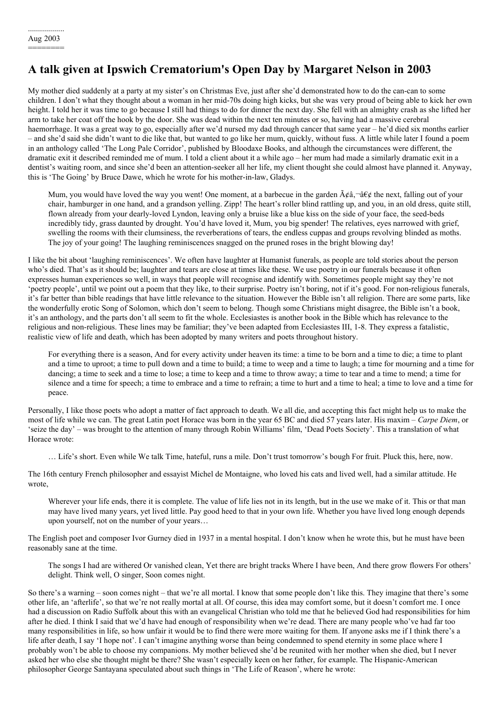## **A talk given at Ipswich Crematorium's Open Day by Margaret Nelson in 2003**

My mother died suddenly at a party at my sister's on Christmas Eve, just after she'd demonstrated how to do the can-can to some children. I don't what they thought about a woman in her mid-70s doing high kicks, but she was very proud of being able to kick her own height. I told her it was time to go because I still had things to do for dinner the next day. She fell with an almighty crash as she lifted her arm to take her coat off the hook by the door. She was dead within the next ten minutes or so, having had a massive cerebral haemorrhage. It was a great way to go, especially after we'd nursed my dad through cancer that same year – he'd died six months earlier – and she'd said she didn't want to die like that, but wanted to go like her mum, quickly, without fuss. A little while later I found a poem in an anthology called 'The Long Pale Corridor', published by Bloodaxe Books, and although the circumstances were different, the dramatic exit it described reminded me of mum. I told a client about it a while ago – her mum had made a similarly dramatic exit in a dentist's waiting room, and since she'd been an attention-seeker all her life, my client thought she could almost have planned it. Anyway, this is 'The Going' by Bruce Dawe, which he wrote for his mother-in-law, Gladys.

Mum, you would have loved the way you went! One moment, at a barbecue in the garden  $\tilde{A}\xi\hat{a}$ ,  $-\hat{a}\xi\hat{\xi}$  the next, falling out of your chair, hamburger in one hand, and a grandson yelling. Zipp! The heart's roller blind rattling up, and you, in an old dress, quite still, flown already from your dearly-loved Lyndon, leaving only a bruise like a blue kiss on the side of your face, the seed-beds incredibly tidy, grass daunted by drought. You'd have loved it, Mum, you big spender! The relatives, eyes narrowed with grief, swelling the rooms with their clumsiness, the reverberations of tears, the endless cuppas and groups revolving blinded as moths. The joy of your going! The laughing reminiscences snagged on the pruned roses in the bright blowing day!

I like the bit about 'laughing reminiscences'. We often have laughter at Humanist funerals, as people are told stories about the person who's died. That's as it should be; laughter and tears are close at times like these. We use poetry in our funerals because it often expresses human experiences so well, in ways that people will recognise and identify with. Sometimes people might say they're not 'poetry people', until we point out a poem that they like, to their surprise. Poetry isn't boring, not if it's good. For non-religious funerals, it's far better than bible readings that have little relevance to the situation. However the Bible isn't all religion. There are some parts, like the wonderfully erotic Song of Solomon, which don't seem to belong. Though some Christians might disagree, the Bible isn't a book, it's an anthology, and the parts don't all seem to fit the whole. Ecclesiastes is another book in the Bible which has relevance to the religious and non-religious. These lines may be familiar; they've been adapted from Ecclesiastes III, 1-8. They express a fatalistic, realistic view of life and death, which has been adopted by many writers and poets throughout history.

For everything there is a season, And for every activity under heaven its time: a time to be born and a time to die; a time to plant and a time to uproot; a time to pull down and a time to build; a time to weep and a time to laugh; a time for mourning and a time for dancing; a time to seek and a time to lose; a time to keep and a time to throw away; a time to tear and a time to mend; a time for silence and a time for speech; a time to embrace and a time to refrain; a time to hurt and a time to heal; a time to love and a time for peace.

Personally, I like those poets who adopt a matter of fact approach to death. We all die, and accepting this fact might help us to make the most of life while we can. The great Latin poet Horace was born in the year 65 BC and died 57 years later. His maxim – *Carpe Diem*, or 'seize the day' – was brought to the attention of many through Robin Williams' film, 'Dead Poets Society'. This a translation of what Horace wrote:

… Life's short. Even while We talk Time, hateful, runs a mile. Don't trust tomorrow's bough For fruit. Pluck this, here, now.

The 16th century French philosopher and essayist Michel de Montaigne, who loved his cats and lived well, had a similar attitude. He wrote,

Wherever your life ends, there it is complete. The value of life lies not in its length, but in the use we make of it. This or that man may have lived many years, yet lived little. Pay good heed to that in your own life. Whether you have lived long enough depends upon yourself, not on the number of your years…

The English poet and composer Ivor Gurney died in 1937 in a mental hospital. I don't know when he wrote this, but he must have been reasonably sane at the time.

The songs I had are withered Or vanished clean, Yet there are bright tracks Where I have been, And there grow flowers For others' delight. Think well, O singer, Soon comes night.

So there's a warning – soon comes night – that we're all mortal. I know that some people don't like this. They imagine that there's some other life, an 'afterlife', so that we're not really mortal at all. Of course, this idea may comfort some, but it doesn't comfort me. I once had a discussion on Radio Suffolk about this with an evangelical Christian who told me that he believed God had responsibilities for him after he died. I think I said that we'd have had enough of responsibility when we're dead. There are many people who've had far too many responsibilities in life, so how unfair it would be to find there were more waiting for them. If anyone asks me if I think there's a life after death, I say 'I hope not'. I can't imagine anything worse than being condemned to spend eternity in some place where I probably won't be able to choose my companions. My mother believed she'd be reunited with her mother when she died, but I never asked her who else she thought might be there? She wasn't especially keen on her father, for example. The Hispanic-American philosopher George Santayana speculated about such things in 'The Life of Reason', where he wrote: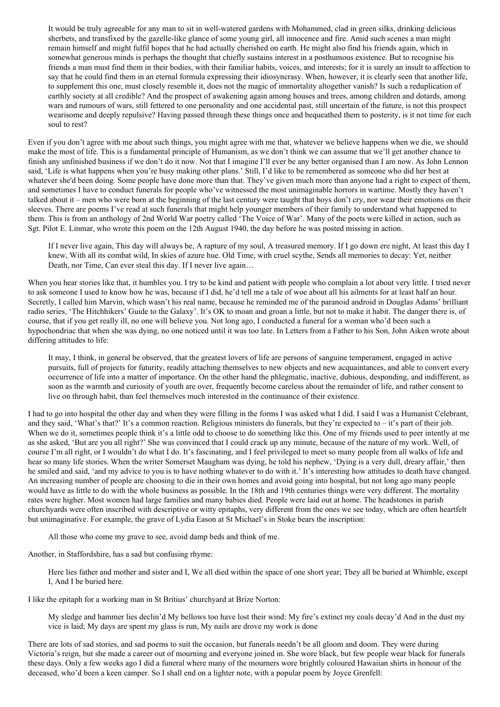It would be truly agreeable for any man to sit in well-watered gardens with Mohammed, clad in green silks, drinking delicious sherbets, and transfixed by the gazelle-like glance of some young girl, all innocence and fire. Amid such scenes a man might remain himself and might fulfil hopes that he had actually cherished on earth. He might also find his friends again, which in somewhat generous minds is perhaps the thought that chiefly sustains interest in a posthumous existence. But to recognise his friends a man must find them in their bodies, with their familiar habits, voices, and interests; for it is surely an insult to affection to say that he could find them in an eternal formula expressing their idiosyncrasy. When, however, it is clearly seen that another life, to supplement this one, must closely resemble it, does not the magic of immortality altogether vanish? Is such a reduplication of earthly society at all credible? And the prospect of awakening again among houses and trees, among children and dotards, among wars and rumours of wars, still fettered to one personality and one accidental past, still uncertain of the future, is not this prospect wearisome and deeply repulsive? Having passed through these things once and bequeathed them to posterity, is it not time for each soul to rest?

Even if you don't agree with me about such things, you might agree with me that, whatever we believe happens when we die, we should make the most of life. This is a fundamental principle of Humanism, as we don't think we can assume that we'll get another chance to finish any unfinished business if we don't do it now. Not that I imagine I'll ever be any better organised than I am now. As John Lennon said, 'Life is what happens when you're busy making other plans.' Still, I'd like to be remembered as someone who did her best at whatever she'd been doing. Some people have done more than that. They've given much more than anyone had a right to expect of them, and sometimes I have to conduct funerals for people who've witnessed the most unimaginable horrors in wartime. Mostly they haven't talked about it – men who were born at the beginning of the last century were taught that boys don't cry, nor wear their emotions on their sleeves. There are poems I've read at such funerals that might help younger members of their family to understand what happened to them. This is from an anthology of 2nd World War poetry called 'The Voice of War'. Many of the poets were killed in action, such as Sgt. Pilot E. Linmar, who wrote this poem on the 12th August 1940, the day before he was posted missing in action.

If I never live again, This day will always be, A rapture of my soul, A treasured memory. If I go down ere night, At least this day I knew, With all its combat wild, In skies of azure hue. Old Time, with cruel scythe, Sends all memories to decay: Yet, neither Death, nor Time, Can ever steal this day. If I never live again…

When you hear stories like that, it humbles you. I try to be kind and patient with people who complain a lot about very little. I tried never to ask someone I used to know how he was, because if I did, he'd tell me a tale of woe about all his ailments for at least half an hour. Secretly, I called him Marvin, which wasn't his real name, because he reminded me of the paranoid android in Douglas Adams' brilliant radio series, 'The Hitchhikers' Guide to the Galaxy'. It's OK to moan and groan a little, but not to make it habit. The danger there is, of course, that if you get really ill, no one will believe you. Not long ago, I conducted a funeral for a woman who'd been such a hypochondriac that when she was dying, no one noticed until it was too late. In Letters from a Father to his Son, John Aiken wrote about differing attitudes to life:

It may, I think, in general be observed, that the greatest lovers of life are persons of sanguine temperament, engaged in active pursuits, full of projects for futurity, readily attaching themselves to new objects and new acquaintances, and able to convert every occurrence of life into a matter of importance. On the other hand the phlegmatic, inactive, dubious, desponding, and indifferent, as soon as the warmth and curiosity of youth are over, frequently become careless about the remainder of life, and rather consent to live on through habit, than feel themselves much interested in the continuance of their existence.

I had to go into hospital the other day and when they were filling in the forms I was asked what I did. I said I was a Humanist Celebrant, and they said, 'What's that?' It's a common reaction. Religious ministers do funerals, but they're expected to – it's part of their job. When we do it, sometimes people think it's a little odd to choose to do something like this. One of my friends used to peer intently at me as she asked, 'But are you all right?' She was convinced that I could crack up any minute, because of the nature of my work. Well, of course I'm all right, or I wouldn't do what I do. It's fascinating, and I feel privileged to meet so many people from all walks of life and hear so many life stories. When the writer Somerset Maugham was dying, he told his nephew, 'Dying is a very dull, dreary affair,' then he smiled and said, 'and my advice to you is to have nothing whatever to do with it.' It's interesting how attitudes to death have changed. An increasing number of people are choosing to die in their own homes and avoid going into hospital, but not long ago many people would have as little to do with the whole business as possible. In the 18th and 19th centuries things were very different. The mortality rates were higher. Most women had large families and many babies died. People were laid out at home. The headstones in parish churchyards were often inscribed with descriptive or witty epitaphs, very different from the ones we see today, which are often heartfelt but unimaginative. For example, the grave of Lydia Eason at St Michael's in Stoke bears the inscription:

All those who come my grave to see, avoid damp beds and think of me.

Another, in Staffordshire, has a sad but confusing rhyme:

Here lies father and mother and sister and I, We all died within the space of one short year; They all be buried at Whimble, except I, And I be buried here.

I like the epitaph for a working man in St Britius' churchyard at Brize Norton:

My sledge and hammer lies declin'd My bellows too have lost their wind: My fire's extinct my coals decay'd And in the dust my vice is laid; My days are spent my glass is run, My nails are drove my work is done

There are lots of sad stories, and sad poems to suit the occasion, but funerals needn't be all gloom and doom. They were during Victoria's reign, but she made a career out of mourning and everyone joined in. She wore black, but few people wear black for funerals these days. Only a few weeks ago I did a funeral where many of the mourners wore brightly coloured Hawaiian shirts in honour of the deceased, who'd been a keen camper. So I shall end on a lighter note, with a popular poem by Joyce Grenfell: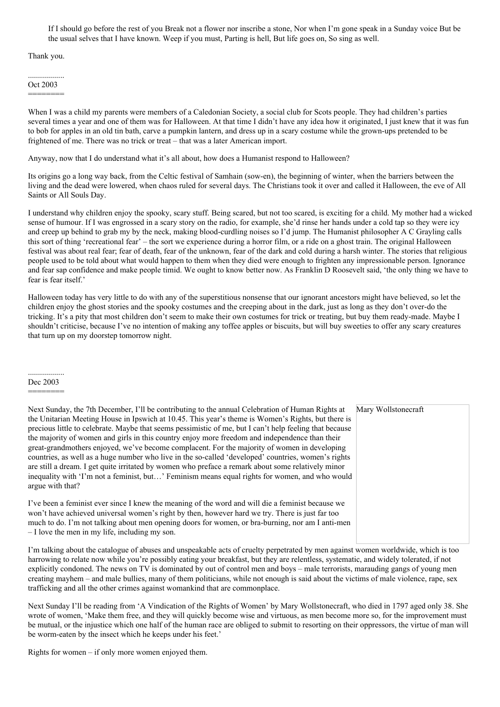If I should go before the rest of you Break not a flower nor inscribe a stone, Nor when I'm gone speak in a Sunday voice But be the usual selves that I have known. Weep if you must, Parting is hell, But life goes on, So sing as well.

Thank you.

.................. Oct 2003 ========

When I was a child my parents were members of a Caledonian Society, a social club for Scots people. They had children's parties several times a year and one of them was for Halloween. At that time I didn't have any idea how it originated, I just knew that it was fun to bob for apples in an old tin bath, carve a pumpkin lantern, and dress up in a scary costume while the grown-ups pretended to be frightened of me. There was no trick or treat – that was a later American import.

Anyway, now that I do understand what it's all about, how does a Humanist respond to Halloween?

Its origins go a long way back, from the Celtic festival of Samhain (sow-en), the beginning of winter, when the barriers between the living and the dead were lowered, when chaos ruled for several days. The Christians took it over and called it Halloween, the eve of All Saints or All Souls Day.

I understand why children enjoy the spooky, scary stuff. Being scared, but not too scared, is exciting for a child. My mother had a wicked sense of humour. If I was engrossed in a scary story on the radio, for example, she'd rinse her hands under a cold tap so they were icy and creep up behind to grab my by the neck, making blood-curdling noises so I'd jump. The Humanist philosopher A C Grayling calls this sort of thing 'recreational fear' – the sort we experience during a horror film, or a ride on a ghost train. The original Halloween festival was about real fear; fear of death, fear of the unknown, fear of the dark and cold during a harsh winter. The stories that religious people used to be told about what would happen to them when they died were enough to frighten any impressionable person. Ignorance and fear sap confidence and make people timid. We ought to know better now. As Franklin D Roosevelt said, 'the only thing we have to fear is fear itself.'

Halloween today has very little to do with any of the superstitious nonsense that our ignorant ancestors might have believed, so let the children enjoy the ghost stories and the spooky costumes and the creeping about in the dark, just as long as they don't over-do the tricking. It's a pity that most children don't seem to make their own costumes for trick or treating, but buy them ready-made. Maybe I shouldn't criticise, because I've no intention of making any toffee apples or biscuits, but will buy sweeties to offer any scary creatures that turn up on my doorstep tomorrow night.

.................. Dec 2003

========

Mary Wollstonecraft Next Sunday, the 7th December, I'll be contributing to the annual Celebration of Human Rights at the Unitarian Meeting House in Ipswich at 10.45. This year's theme is Women's Rights, but there is precious little to celebrate. Maybe that seems pessimistic of me, but I can't help feeling that because the majority of women and girls in this country enjoy more freedom and independence than their great-grandmothers enjoyed, we've become complacent. For the majority of women in developing countries, as well as a huge number who live in the so-called 'developed' countries, women's rights are still a dream. I get quite irritated by women who preface a remark about some relatively minor inequality with 'I'm not a feminist, but…' Feminism means equal rights for women, and who would argue with that?

I've been a feminist ever since I knew the meaning of the word and will die a feminist because we won't have achieved universal women's right by then, however hard we try. There is just far too much to do. I'm not talking about men opening doors for women, or bra-burning, nor am I anti-men – I love the men in my life, including my son.

I'm talking about the catalogue of abuses and unspeakable acts of cruelty perpetrated by men against women worldwide, which is too harrowing to relate now while you're possibly eating your breakfast, but they are relentless, systematic, and widely tolerated, if not explicitly condoned. The news on TV is dominated by out of control men and boys – male terrorists, marauding gangs of young men creating mayhem – and male bullies, many of them politicians, while not enough is said about the victims of male violence, rape, sex trafficking and all the other crimes against womankind that are commonplace.

Next Sunday I'll be reading from 'A Vindication of the Rights of Women' by Mary Wollstonecraft, who died in 1797 aged only 38. She wrote of women, 'Make them free, and they will quickly become wise and virtuous, as men become more so, for the improvement must be mutual, or the injustice which one half of the human race are obliged to submit to resorting on their oppressors, the virtue of man will be worm-eaten by the insect which he keeps under his feet.'

Rights for women – if only more women enjoyed them.